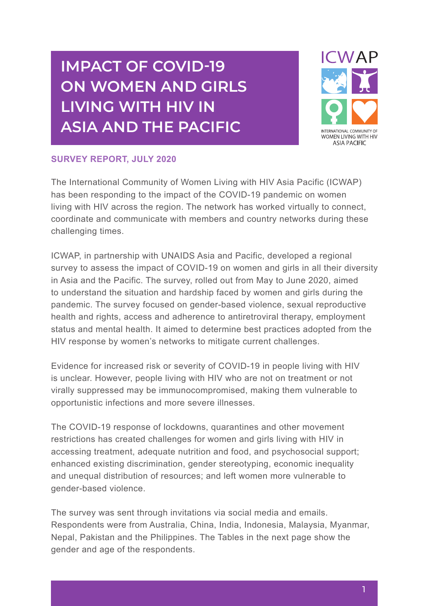# **IMPACT OF COVID-19 ON WOMEN AND GIRLS LIVING WITH HIV IN ASIA AND THE PACIFIC**



#### **SURVEY REPORT, JULY 2020**

The International Community of Women Living with HIV Asia Pacific (ICWAP) has been responding to the impact of the COVID-19 pandemic on women living with HIV across the region. The network has worked virtually to connect, coordinate and communicate with members and country networks during these challenging times.

ICWAP, in partnership with UNAIDS Asia and Pacific, developed a regional survey to assess the impact of COVID-19 on women and girls in all their diversity in Asia and the Pacific. The survey, rolled out from May to June 2020, aimed to understand the situation and hardship faced by women and girls during the pandemic. The survey focused on gender-based violence, sexual reproductive health and rights, access and adherence to antiretroviral therapy, employment status and mental health. It aimed to determine best practices adopted from the HIV response by women's networks to mitigate current challenges.

Evidence for increased risk or severity of COVID-19 in people living with HIV is unclear. However, people living with HIV who are not on treatment or not virally suppressed may be immunocompromised, making them vulnerable to opportunistic infections and more severe illnesses.

The COVID-19 response of lockdowns, quarantines and other movement restrictions has created challenges for women and girls living with HIV in accessing treatment, adequate nutrition and food, and psychosocial support; enhanced existing discrimination, gender stereotyping, economic inequality and unequal distribution of resources; and left women more vulnerable to gender-based violence.

The survey was sent through invitations via social media and emails. Respondents were from Australia, China, India, Indonesia, Malaysia, Myanmar, Nepal, Pakistan and the Philippines. The Tables in the next page show the gender and age of the respondents.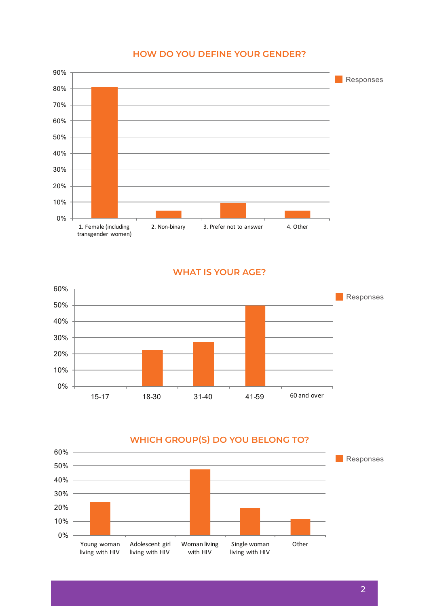# How do you define your gender? **HOW DO YOU DEFINE YOUR GENDER?**



#### **WHAT IS YOUR AGE?**



# **WHICH GROUP(S) DO YOU BELONG TO?** Which group(s) do you belong to?

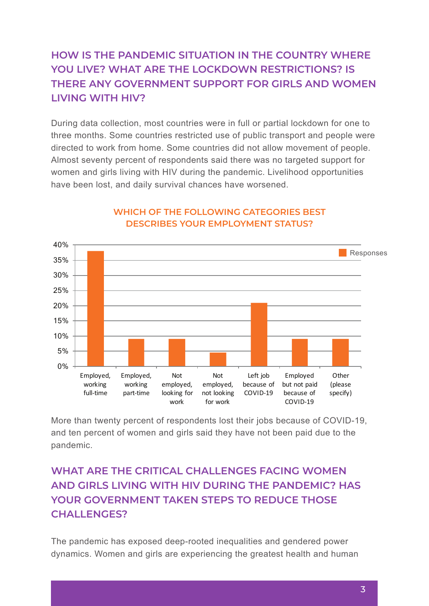# **HOW IS THE PANDEMIC SITUATION IN THE COUNTRY WHERE**  YOU LIVE? WHAT ARE THE LOCKDOWN RESTRICTIONS? IS **THERE ANY GOVERNMENT SUPPORT FOR GIRLS AND WOMEN** LIVING WITH HIV?

During data collection, most countries were in full or partial lockdown for one to three months. Some countries restricted use of public transport and people were directed to work from home. Some countries did not allow movement of people. Almost seventy percent of respondents said there was no targeted support for women and girls living with HIV during the pandemic. Livelihood opportunities have been lost, and daily survival chances have worsened. Employed, working part-time 9.09% Danny data concentri, most countries were in fun or par



# **WHICH OF THE FOLLOWING CATEGORIES BEST**  Which of the following categories best describes DESCRIBES YOUR EMPLOYMENT STATUS?

More than twenty percent of respondents lost their jobs because of COVID-19, and ten percent of women and girls said they have not been paid due to the pandemic.

# **WHAT ARE THE CRITICAL CHALLENGES FACING WOMEN AND GIRLS LIVING WITH HIV DURING THE PANDEMIC? HAS YOUR GOVERNMENT TAKEN STEPS TO REDUCE THOSE CHALLENGES?**

The pandemic has exposed deep-rooted inequalities and gendered power dynamics. Women and girls are experiencing the greatest health and human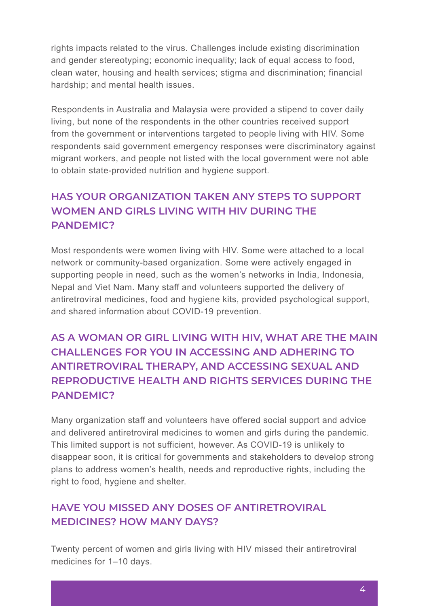rights impacts related to the virus. Challenges include existing discrimination and gender stereotyping; economic inequality; lack of equal access to food, clean water, housing and health services; stigma and discrimination; financial hardship; and mental health issues.

Respondents in Australia and Malaysia were provided a stipend to cover daily living, but none of the respondents in the other countries received support from the government or interventions targeted to people living with HIV. Some respondents said government emergency responses were discriminatory against migrant workers, and people not listed with the local government were not able to obtain state-provided nutrition and hygiene support.

#### **HAS YOUR ORGANIZATION TAKEN ANY STEPS TO SUPPORT WOMEN AND GIRLS LIVING WITH HIV DURING THE PANDEMIC?**

Most respondents were women living with HIV. Some were attached to a local network or community-based organization. Some were actively engaged in supporting people in need, such as the women's networks in India, Indonesia, Nepal and Viet Nam. Many staff and volunteers supported the delivery of antiretroviral medicines, food and hygiene kits, provided psychological support, and shared information about COVID-19 prevention.

### **AS A WOMAN OR GIRL LIVING WITH HIV, WHAT ARE THE MAIN CHALLENGES FOR YOU IN ACCESSING AND ADHERING TO ANTIRETROVIRAL THERAPY, AND ACCESSING SEXUAL AND REPRODUCTIVE HEALTH AND RIGHTS SERVICES DURING THE PANDEMIC?**

Many organization staff and volunteers have offered social support and advice and delivered antiretroviral medicines to women and girls during the pandemic. This limited support is not sufficient, however. As COVID-19 is unlikely to disappear soon, it is critical for governments and stakeholders to develop strong plans to address women's health, needs and reproductive rights, including the right to food, hygiene and shelter.

#### **HAVE YOU MISSED ANY DOSES OF ANTIRETROVIRAL MEDICINES? HOW MANY DAYS?**

Twenty percent of women and girls living with HIV missed their antiretroviral medicines for 1–10 days.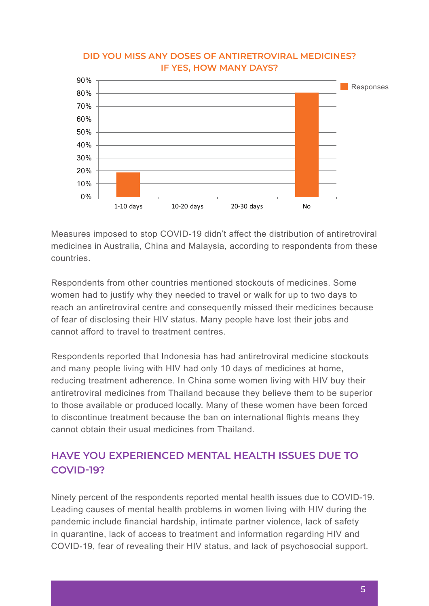

# DID YOU MISS ANY DOSES OF ANTIRETROVIRAL MEDICINES? **IF YES, HOW MANY DAYS?** many days?

Measures imposed to stop COVID-19 didn't affect the distribution of antiretroviral medicines in Australia, China and Malaysia, according to respondents from these countries.

Respondents from other countries mentioned stockouts of medicines. Some women had to justify why they needed to travel or walk for up to two days to reach an antiretroviral centre and consequently missed their medicines because of fear of disclosing their HIV status. Many people have lost their jobs and cannot afford to travel to treatment centres.

Respondents reported that Indonesia has had antiretroviral medicine stockouts and many people living with HIV had only 10 days of medicines at home, reducing treatment adherence. In China some women living with HIV buy their antiretroviral medicines from Thailand because they believe them to be superior to those available or produced locally. Many of these women have been forced to discontinue treatment because the ban on international flights means they cannot obtain their usual medicines from Thailand.

### **HAVE YOU EXPERIENCED MENTAL HEALTH ISSUES DUE TO COVID-19?**

Ninety percent of the respondents reported mental health issues due to COVID-19. Leading causes of mental health problems in women living with HIV during the pandemic include financial hardship, intimate partner violence, lack of safety in quarantine, lack of access to treatment and information regarding HIV and COVID-19, fear of revealing their HIV status, and lack of psychosocial support.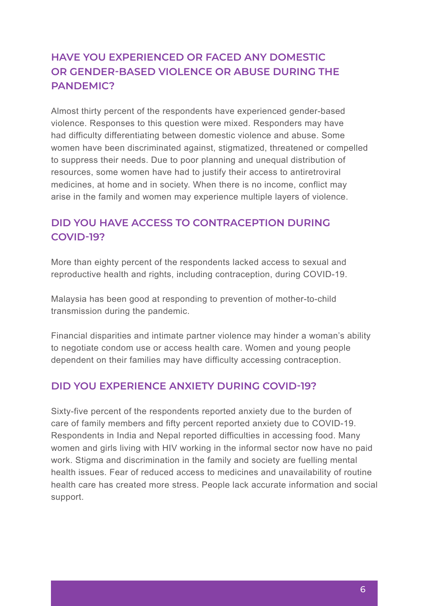#### **HAVE YOU EXPERIENCED OR FACED ANY DOMESTIC OR GENDER-BASED VIOLENCE OR ABUSE DURING THE PANDEMIC?**

Almost thirty percent of the respondents have experienced gender-based violence. Responses to this question were mixed. Responders may have had difficulty differentiating between domestic violence and abuse. Some women have been discriminated against, stigmatized, threatened or compelled to suppress their needs. Due to poor planning and unequal distribution of resources, some women have had to justify their access to antiretroviral medicines, at home and in society. When there is no income, conflict may arise in the family and women may experience multiple layers of violence.

#### **DID YOU HAVE ACCESS TO CONTRACEPTION DURING COVID-19?**

More than eighty percent of the respondents lacked access to sexual and reproductive health and rights, including contraception, during COVID-19.

Malaysia has been good at responding to prevention of mother-to-child transmission during the pandemic.

Financial disparities and intimate partner violence may hinder a woman's ability to negotiate condom use or access health care. Women and young people dependent on their families may have difficulty accessing contraception.

#### **DID YOU EXPERIENCE ANXIETY DURING COVID-19?**

Sixty-five percent of the respondents reported anxiety due to the burden of care of family members and fifty percent reported anxiety due to COVID-19. Respondents in India and Nepal reported difficulties in accessing food. Many women and girls living with HIV working in the informal sector now have no paid work. Stigma and discrimination in the family and society are fuelling mental health issues. Fear of reduced access to medicines and unavailability of routine health care has created more stress. People lack accurate information and social support.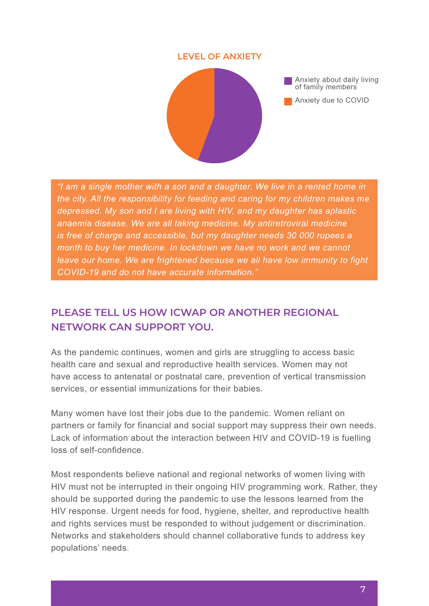#### **LEVEL OF ANXIETY**



*"I am a single mother with a son and a daughter. We live in a rented home in the city. All the responsibility for feeding and caring for my children makes me depressed. My son and I are living with HIV, and my daughter has aplastic anaemia disease. We are all taking medicine. My antiretroviral medicine is free of charge and accessible, but my daughter needs 30 000 rupees a month to buy her medicine. In lockdown we have no work and we cannot leave our home. We are frightened because we all have low immunity to fight COVID-19 and do not have accurate information."*

#### **PLEASE TELL US HOW ICWAP OR ANOTHER REGIONAL NETWORK CAN SUPPORT YOU.**

As the pandemic continues, women and girls are struggling to access basic health care and sexual and reproductive health services. Women may not have access to antenatal or postnatal care, prevention of vertical transmission services, or essential immunizations for their babies.

Many women have lost their jobs due to the pandemic. Women reliant on partners or family for financial and social support may suppress their own needs. Lack of information about the interaction between HIV and COVID-19 is fuelling loss of self-confidence.

Most respondents believe national and regional networks of women living with HIV must not be interrupted in their ongoing HIV programming work. Rather, they should be supported during the pandemic to use the lessons learned from the HIV response. Urgent needs for food, hygiene, shelter, and reproductive health and rights services must be responded to without judgement or discrimination. Networks and stakeholders should channel collaborative funds to address key populations' needs.